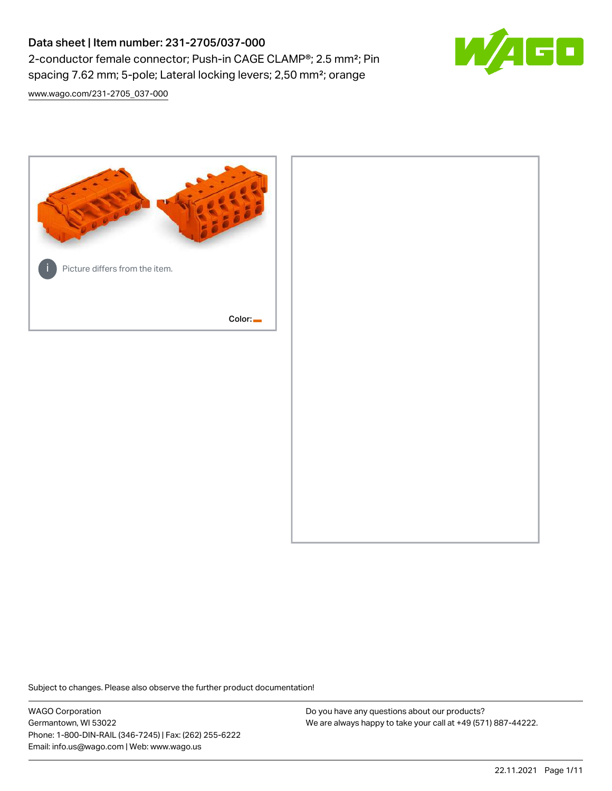# Data sheet | Item number: 231-2705/037-000 2-conductor female connector; Push-in CAGE CLAMP®; 2.5 mm²; Pin spacing 7.62 mm; 5-pole; Lateral locking levers; 2,50 mm²; orange



[www.wago.com/231-2705\\_037-000](http://www.wago.com/231-2705_037-000)



Subject to changes. Please also observe the further product documentation!

WAGO Corporation Germantown, WI 53022 Phone: 1-800-DIN-RAIL (346-7245) | Fax: (262) 255-6222 Email: info.us@wago.com | Web: www.wago.us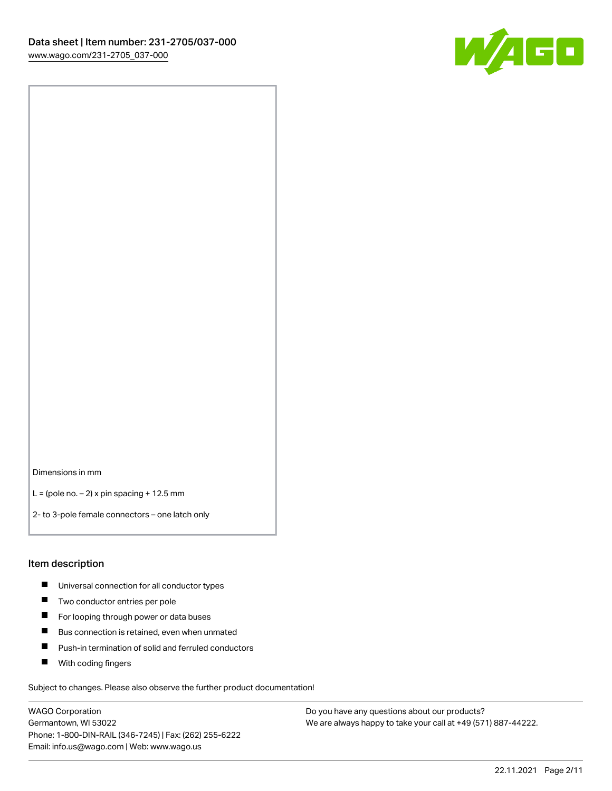

Dimensions in mm

 $L =$  (pole no.  $-2$ ) x pin spacing + 12.5 mm

2- to 3-pole female connectors – one latch only

#### Item description

- **Universal connection for all conductor types**
- **Two conductor entries per pole**
- $\blacksquare$ For looping through power or data buses
- $\blacksquare$ Bus connection is retained, even when unmated
- $\blacksquare$ Push-in termination of solid and ferruled conductors
- $\blacksquare$ With coding fingers

Subject to changes. Please also observe the further product documentation!

WAGO Corporation Germantown, WI 53022 Phone: 1-800-DIN-RAIL (346-7245) | Fax: (262) 255-6222 Email: info.us@wago.com | Web: www.wago.us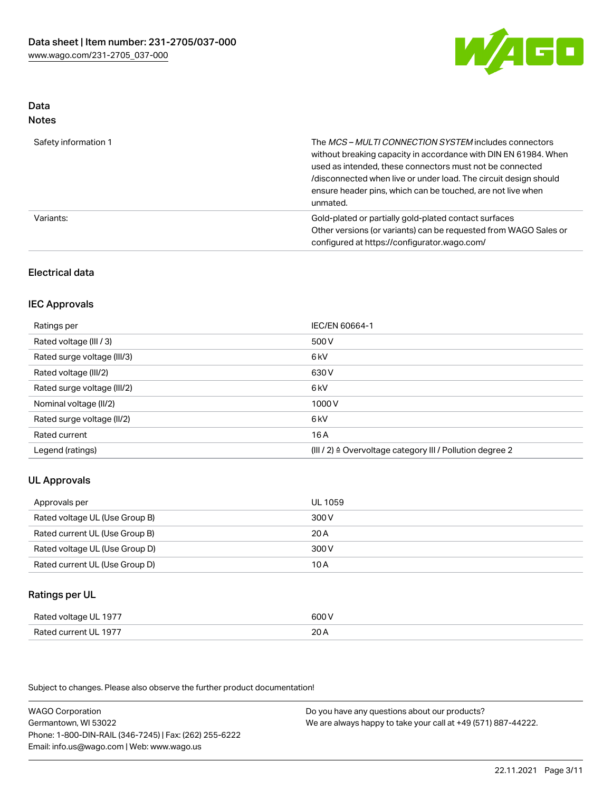

#### Data Notes

| .                    |                                                                                                                                                                                                                                                                                                                                   |
|----------------------|-----------------------------------------------------------------------------------------------------------------------------------------------------------------------------------------------------------------------------------------------------------------------------------------------------------------------------------|
| Safety information 1 | The MCS-MULTI CONNECTION SYSTEM includes connectors<br>without breaking capacity in accordance with DIN EN 61984. When<br>used as intended, these connectors must not be connected<br>/disconnected when live or under load. The circuit design should<br>ensure header pins, which can be touched, are not live when<br>unmated. |
| Variants:            | Gold-plated or partially gold-plated contact surfaces<br>Other versions (or variants) can be requested from WAGO Sales or<br>configured at https://configurator.wago.com/                                                                                                                                                         |

### Electrical data

### IEC Approvals

| Ratings per                 | IEC/EN 60664-1                                                        |
|-----------------------------|-----------------------------------------------------------------------|
| Rated voltage (III / 3)     | 500 V                                                                 |
| Rated surge voltage (III/3) | 6 <sub>k</sub> V                                                      |
| Rated voltage (III/2)       | 630 V                                                                 |
| Rated surge voltage (III/2) | 6 <sub>k</sub> V                                                      |
| Nominal voltage (II/2)      | 1000 V                                                                |
| Rated surge voltage (II/2)  | 6 kV                                                                  |
| Rated current               | 16 A                                                                  |
| Legend (ratings)            | $(III / 2)$ $\triangle$ Overvoltage category III / Pollution degree 2 |

## UL Approvals

| Approvals per                  | UL 1059 |
|--------------------------------|---------|
| Rated voltage UL (Use Group B) | 300 V   |
| Rated current UL (Use Group B) | 20 A    |
| Rated voltage UL (Use Group D) | 300 V   |
| Rated current UL (Use Group D) | 10 A    |

#### Ratings per UL

| Rated voltage UL 1977 | 600 V |
|-----------------------|-------|
| Rated current UL 1977 | 20A   |

Subject to changes. Please also observe the further product documentation!

WAGO Corporation Germantown, WI 53022 Phone: 1-800-DIN-RAIL (346-7245) | Fax: (262) 255-6222 Email: info.us@wago.com | Web: www.wago.us Do you have any questions about our products? We are always happy to take your call at +49 (571) 887-44222.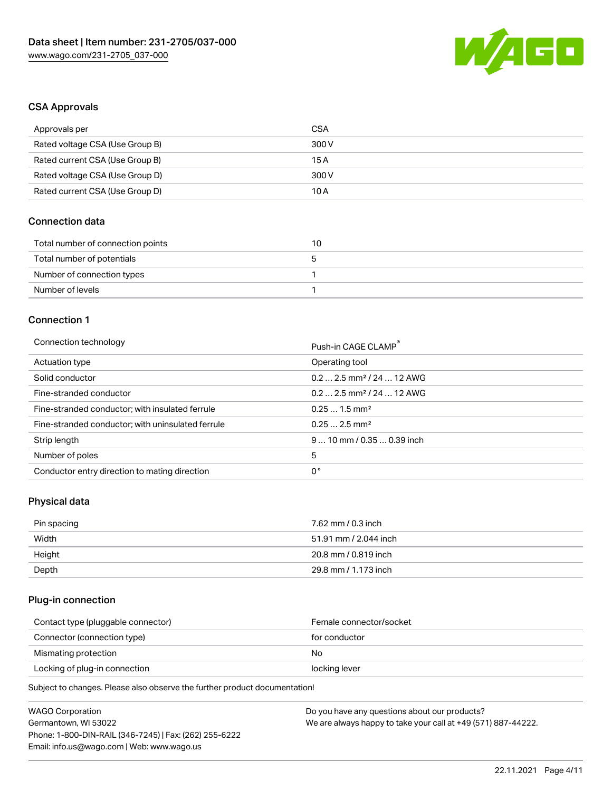

### CSA Approvals

| Approvals per                   | CSA   |
|---------------------------------|-------|
| Rated voltage CSA (Use Group B) | 300 V |
| Rated current CSA (Use Group B) | 15 A  |
| Rated voltage CSA (Use Group D) | 300 V |
| Rated current CSA (Use Group D) | 10 A  |

## Connection data

| Total number of connection points | 10 |
|-----------------------------------|----|
| Total number of potentials        |    |
| Number of connection types        |    |
| Number of levels                  |    |

#### Connection 1

#### Connection technology **Push-in CAGE CLAMP<sup>®</sup>**

| ັ                                                 | PUSN-IN CAGE CLAMP                    |
|---------------------------------------------------|---------------------------------------|
| Actuation type                                    | Operating tool                        |
| Solid conductor                                   | $0.22.5$ mm <sup>2</sup> / 24  12 AWG |
| Fine-stranded conductor                           | $0.22.5$ mm <sup>2</sup> / 24  12 AWG |
| Fine-stranded conductor; with insulated ferrule   | $0.251.5$ mm <sup>2</sup>             |
| Fine-stranded conductor; with uninsulated ferrule | $0.252.5$ mm <sup>2</sup>             |
| Strip length                                      | $910$ mm / 0.35  0.39 inch            |
| Number of poles                                   | 5                                     |
| Conductor entry direction to mating direction     | 0°                                    |

## Physical data

| Pin spacing | 7.62 mm / 0.3 inch    |
|-------------|-----------------------|
| Width       | 51.91 mm / 2.044 inch |
| Height      | 20.8 mm / 0.819 inch  |
| Depth       | 29.8 mm / 1.173 inch  |

### Plug-in connection

| Contact type (pluggable connector) | Female connector/socket |
|------------------------------------|-------------------------|
| Connector (connection type)        | for conductor           |
| Mismating protection               | No                      |
| Locking of plug-in connection      | locking lever           |
|                                    |                         |

Subject to changes. Please also observe the further product documentation!

| WAGO Corporation                                       | Do you have any questions about our products?                 |
|--------------------------------------------------------|---------------------------------------------------------------|
| Germantown, WI 53022                                   | We are always happy to take your call at +49 (571) 887-44222. |
| Phone: 1-800-DIN-RAIL (346-7245)   Fax: (262) 255-6222 |                                                               |
| Email: info.us@wago.com   Web: www.wago.us             |                                                               |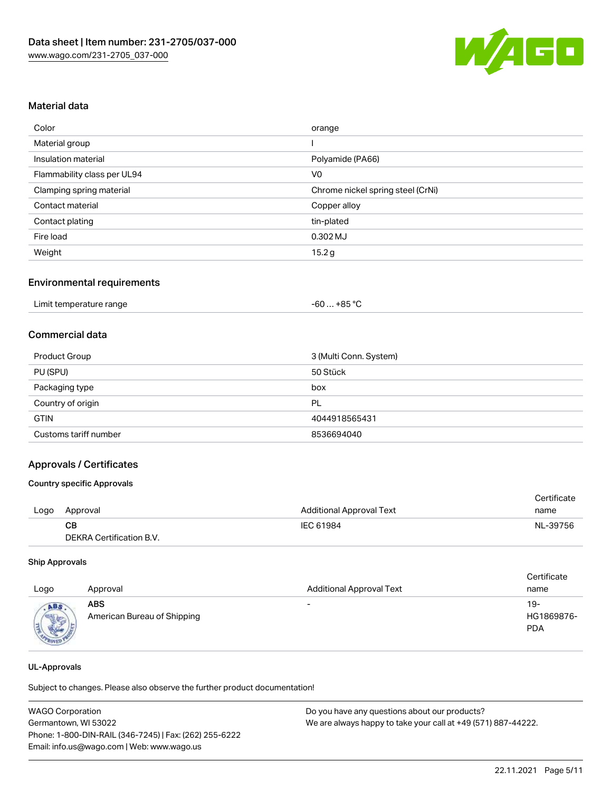

### Material data

| Color                       | orange                            |
|-----------------------------|-----------------------------------|
| Material group              |                                   |
| Insulation material         | Polyamide (PA66)                  |
| Flammability class per UL94 | V <sub>0</sub>                    |
| Clamping spring material    | Chrome nickel spring steel (CrNi) |
| Contact material            | Copper alloy                      |
| Contact plating             | tin-plated                        |
| Fire load                   | $0.302$ MJ                        |
| Weight                      | 15.2 <sub>g</sub>                 |

#### Environmental requirements

|  | Limit temperature range | −60 … +85 °Ր |
|--|-------------------------|--------------|
|--|-------------------------|--------------|

### Commercial data

| <b>Product Group</b>  | 3 (Multi Conn. System) |  |
|-----------------------|------------------------|--|
| PU (SPU)              | 50 Stück               |  |
| Packaging type        | box                    |  |
| Country of origin     | PL                     |  |
| <b>GTIN</b>           | 4044918565431          |  |
| Customs tariff number | 8536694040             |  |

#### Approvals / Certificates

#### Country specific Approvals

|      |                          |                                 | Certificate |
|------|--------------------------|---------------------------------|-------------|
| Logo | Approval                 | <b>Additional Approval Text</b> | name        |
|      | CB.                      | IEC 61984                       | NL-39756    |
|      | DEKRA Certification B.V. |                                 |             |

#### Ship Approvals

| Logo               | Approval                                  | <b>Additional Approval Text</b> | Certificate<br>name             |
|--------------------|-------------------------------------------|---------------------------------|---------------------------------|
| ABS<br><b>SALE</b> | <b>ABS</b><br>American Bureau of Shipping | $\overline{\phantom{0}}$        | 19-<br>HG1869876-<br><b>PDA</b> |

#### UL-Approvals

Subject to changes. Please also observe the further product documentation!

| <b>WAGO Corporation</b>                                | Do you have any questions about our products?                 |  |  |
|--------------------------------------------------------|---------------------------------------------------------------|--|--|
| Germantown, WI 53022                                   | We are always happy to take your call at +49 (571) 887-44222. |  |  |
| Phone: 1-800-DIN-RAIL (346-7245)   Fax: (262) 255-6222 |                                                               |  |  |
| Email: info.us@wago.com   Web: www.wago.us             |                                                               |  |  |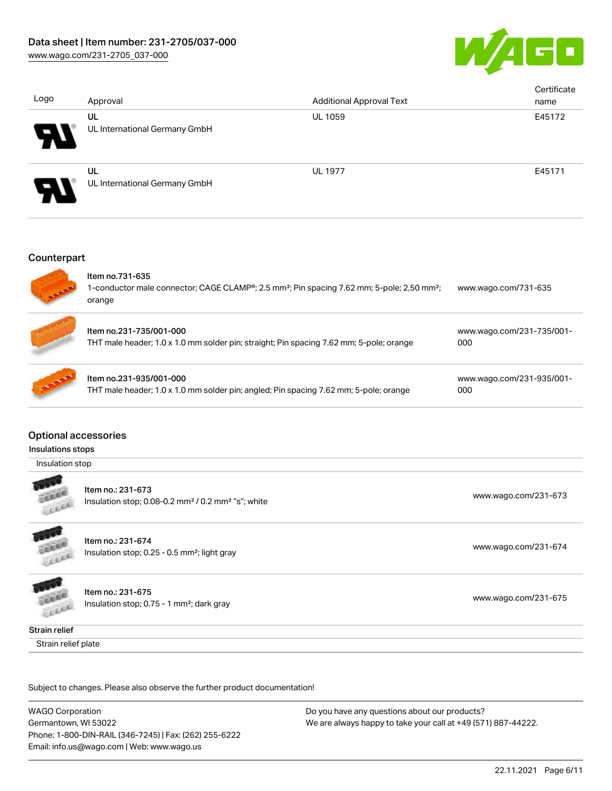

| Logo                       | Approval                            | <b>Additional Approval Text</b> | Certificate<br>name |
|----------------------------|-------------------------------------|---------------------------------|---------------------|
| $\boldsymbol{\mathcal{F}}$ | UL<br>UL International Germany GmbH | <b>UL 1059</b>                  | E45172              |
| $\boldsymbol{\mathcal{P}}$ | UL<br>UL International Germany GmbH | <b>UL 1977</b>                  | E45171              |

#### **Counterpart**



## Optional accessories

#### Insulations stops

Insulation stop



Item no.: 231-673 Insulation stop; 0.08-0.2 mm<sup>2</sup> / 0.2 mm<sup>2</sup> "s"; white [www.wago.com/231-673](http://www.wago.com/231-673) www.wago.com/231-673

Insulation stop; 0.25 - 0.5 mm<sup>2</sup>; light gray [www.wago.com/231-674](http://www.wago.com/231-674)

Insulation stop; 0.75 - 1 mm²; dark gray [www.wago.com/231-675](http://www.wago.com/231-675)

Cocca Strain relief

LEEE

Strain relief plate

Subject to changes. Please also observe the further product documentation!

WAGO Corporation Germantown, WI 53022 Phone: 1-800-DIN-RAIL (346-7245) | Fax: (262) 255-6222 Email: info.us@wago.com | Web: www.wago.us

Item no.: 231-674

Item no.: 231-675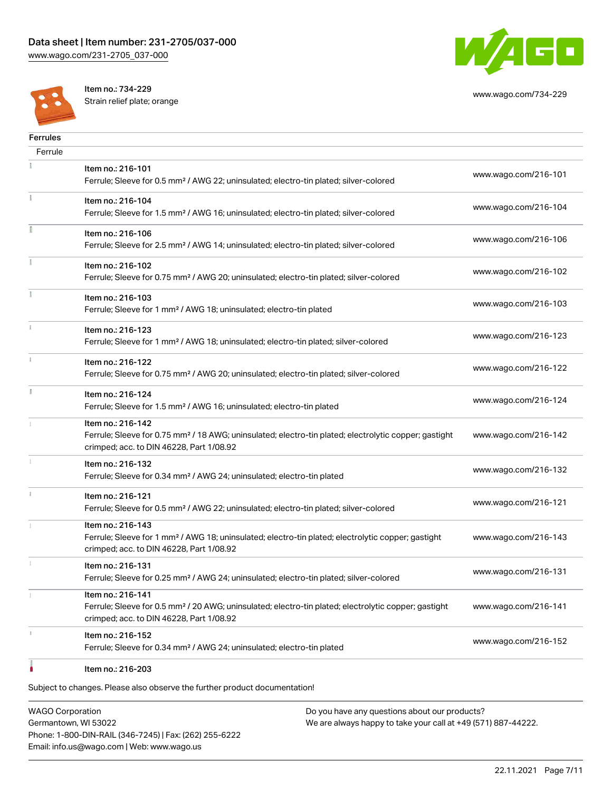

[www.wago.com/734-229](http://www.wago.com/734-229)



Item no.: 734-229 Strain relief plate; orange

| <b>Ferrules</b> |                                                                                                                                                                                    |                      |
|-----------------|------------------------------------------------------------------------------------------------------------------------------------------------------------------------------------|----------------------|
| Ferrule         |                                                                                                                                                                                    |                      |
|                 | Item no.: 216-101<br>Ferrule; Sleeve for 0.5 mm <sup>2</sup> / AWG 22; uninsulated; electro-tin plated; silver-colored                                                             | www.wago.com/216-101 |
|                 | Item no.: 216-104<br>Ferrule; Sleeve for 1.5 mm <sup>2</sup> / AWG 16; uninsulated; electro-tin plated; silver-colored                                                             | www.wago.com/216-104 |
| Ē               | Item no.: 216-106<br>Ferrule; Sleeve for 2.5 mm <sup>2</sup> / AWG 14; uninsulated; electro-tin plated; silver-colored                                                             | www.wago.com/216-106 |
| ī.              | Item no.: 216-102<br>Ferrule; Sleeve for 0.75 mm <sup>2</sup> / AWG 20; uninsulated; electro-tin plated; silver-colored                                                            | www.wago.com/216-102 |
|                 | Item no.: 216-103<br>Ferrule; Sleeve for 1 mm <sup>2</sup> / AWG 18; uninsulated; electro-tin plated                                                                               | www.wago.com/216-103 |
|                 | Item no.: 216-123<br>Ferrule; Sleeve for 1 mm <sup>2</sup> / AWG 18; uninsulated; electro-tin plated; silver-colored                                                               | www.wago.com/216-123 |
| î.              | Item no.: 216-122<br>Ferrule; Sleeve for 0.75 mm <sup>2</sup> / AWG 20; uninsulated; electro-tin plated; silver-colored                                                            | www.wago.com/216-122 |
| ă.              | Item no.: 216-124<br>Ferrule; Sleeve for 1.5 mm <sup>2</sup> / AWG 16; uninsulated; electro-tin plated                                                                             | www.wago.com/216-124 |
|                 | Item no.: 216-142<br>Ferrule; Sleeve for 0.75 mm <sup>2</sup> / 18 AWG; uninsulated; electro-tin plated; electrolytic copper; gastight<br>crimped; acc. to DIN 46228, Part 1/08.92 | www.wago.com/216-142 |
|                 | Item no.: 216-132<br>Ferrule; Sleeve for 0.34 mm <sup>2</sup> / AWG 24; uninsulated; electro-tin plated                                                                            | www.wago.com/216-132 |
| i.              | Item no.: 216-121<br>Ferrule; Sleeve for 0.5 mm <sup>2</sup> / AWG 22; uninsulated; electro-tin plated; silver-colored                                                             | www.wago.com/216-121 |
|                 | Item no.: 216-143<br>Ferrule; Sleeve for 1 mm <sup>2</sup> / AWG 18; uninsulated; electro-tin plated; electrolytic copper; gastight<br>crimped; acc. to DIN 46228, Part 1/08.92    | www.wago.com/216-143 |
|                 | Item no.: 216-131<br>Ferrule; Sleeve for 0.25 mm <sup>2</sup> / AWG 24; uninsulated; electro-tin plated; silver-colored                                                            | www.wago.com/216-131 |
|                 | Item no.: 216-141<br>Ferrule; Sleeve for 0.5 mm <sup>2</sup> / 20 AWG; uninsulated; electro-tin plated; electrolytic copper; gastight<br>crimped; acc. to DIN 46228, Part 1/08.92  | www.wago.com/216-141 |
| r.              | Item no.: 216-152<br>Ferrule; Sleeve for 0.34 mm <sup>2</sup> / AWG 24; uninsulated; electro-tin plated                                                                            | www.wago.com/216-152 |
|                 | Item no.: 216-203                                                                                                                                                                  |                      |

Subject to changes. Please also observe the further product documentation!

WAGO Corporation Germantown, WI 53022 Phone: 1-800-DIN-RAIL (346-7245) | Fax: (262) 255-6222 Email: info.us@wago.com | Web: www.wago.us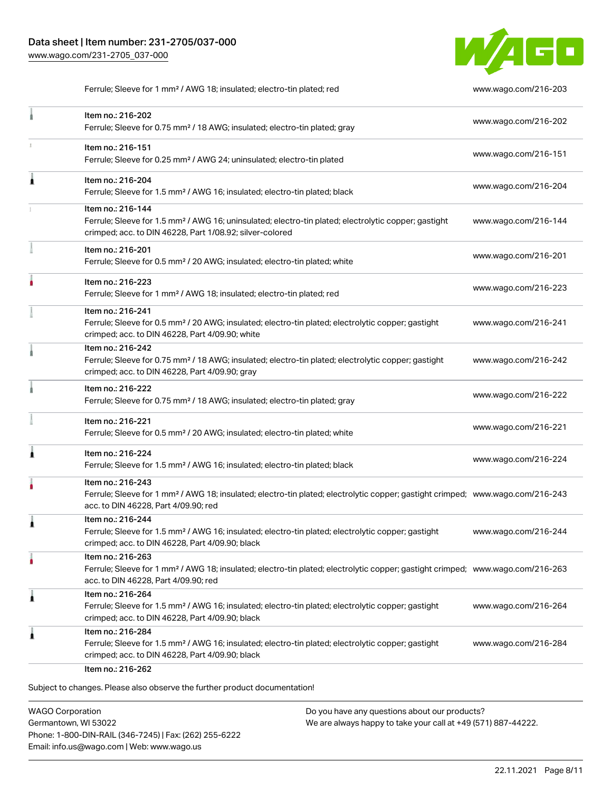

Ferrule; Sleeve for 1 mm² / AWG 18; insulated; electro-tin plated; red [www.wago.com/216-203](http://www.wago.com/216-203)

|   | Item no.: 216-202<br>Ferrule; Sleeve for 0.75 mm <sup>2</sup> / 18 AWG; insulated; electro-tin plated; gray                                                                                             | www.wago.com/216-202 |
|---|---------------------------------------------------------------------------------------------------------------------------------------------------------------------------------------------------------|----------------------|
| ı | Item no.: 216-151<br>Ferrule; Sleeve for 0.25 mm <sup>2</sup> / AWG 24; uninsulated; electro-tin plated                                                                                                 | www.wago.com/216-151 |
| Â | Item no.: 216-204<br>Ferrule; Sleeve for 1.5 mm <sup>2</sup> / AWG 16; insulated; electro-tin plated; black                                                                                             | www.wago.com/216-204 |
|   | Item no.: 216-144<br>Ferrule; Sleeve for 1.5 mm <sup>2</sup> / AWG 16; uninsulated; electro-tin plated; electrolytic copper; gastight<br>crimped; acc. to DIN 46228, Part 1/08.92; silver-colored       | www.wago.com/216-144 |
|   | Item no.: 216-201<br>Ferrule; Sleeve for 0.5 mm <sup>2</sup> / 20 AWG; insulated; electro-tin plated; white                                                                                             | www.wago.com/216-201 |
|   | Item no.: 216-223<br>Ferrule; Sleeve for 1 mm <sup>2</sup> / AWG 18; insulated; electro-tin plated; red                                                                                                 | www.wago.com/216-223 |
|   | Item no.: 216-241<br>Ferrule; Sleeve for 0.5 mm <sup>2</sup> / 20 AWG; insulated; electro-tin plated; electrolytic copper; gastight<br>crimped; acc. to DIN 46228, Part 4/09.90; white                  | www.wago.com/216-241 |
|   | Item no.: 216-242<br>Ferrule; Sleeve for 0.75 mm <sup>2</sup> / 18 AWG; insulated; electro-tin plated; electrolytic copper; gastight<br>crimped; acc. to DIN 46228, Part 4/09.90; gray                  | www.wago.com/216-242 |
|   | Item no.: 216-222<br>Ferrule; Sleeve for 0.75 mm <sup>2</sup> / 18 AWG; insulated; electro-tin plated; gray                                                                                             | www.wago.com/216-222 |
|   | Item no.: 216-221<br>Ferrule; Sleeve for 0.5 mm <sup>2</sup> / 20 AWG; insulated; electro-tin plated; white                                                                                             | www.wago.com/216-221 |
| 1 | Item no.: 216-224<br>Ferrule; Sleeve for 1.5 mm <sup>2</sup> / AWG 16; insulated; electro-tin plated; black                                                                                             | www.wago.com/216-224 |
|   | Item no.: 216-243<br>Ferrule; Sleeve for 1 mm <sup>2</sup> / AWG 18; insulated; electro-tin plated; electrolytic copper; gastight crimped; www.wago.com/216-243<br>acc. to DIN 46228, Part 4/09.90; red |                      |
| 1 | Item no.: 216-244<br>Ferrule; Sleeve for 1.5 mm <sup>2</sup> / AWG 16; insulated; electro-tin plated; electrolytic copper; gastight<br>crimped; acc. to DIN 46228, Part 4/09.90; black                  | www.wago.com/216-244 |
| ٠ | Item no.: 216-263<br>Ferrule; Sleeve for 1 mm <sup>2</sup> / AWG 18; insulated; electro-tin plated; electrolytic copper; gastight crimped; www.wago.com/216-263<br>acc. to DIN 46228, Part 4/09.90; red |                      |
| 1 | Item no.: 216-264<br>Ferrule; Sleeve for 1.5 mm <sup>2</sup> / AWG 16; insulated; electro-tin plated; electrolytic copper; gastight<br>crimped; acc. to DIN 46228, Part 4/09.90; black                  | www.wago.com/216-264 |
| Â | Item no.: 216-284<br>Ferrule; Sleeve for 1.5 mm <sup>2</sup> / AWG 16; insulated; electro-tin plated; electrolytic copper; gastight<br>crimped; acc. to DIN 46228, Part 4/09.90; black                  | www.wago.com/216-284 |

WAGO Corporation Germantown, WI 53022 Phone: 1-800-DIN-RAIL (346-7245) | Fax: (262) 255-6222 Email: info.us@wago.com | Web: www.wago.us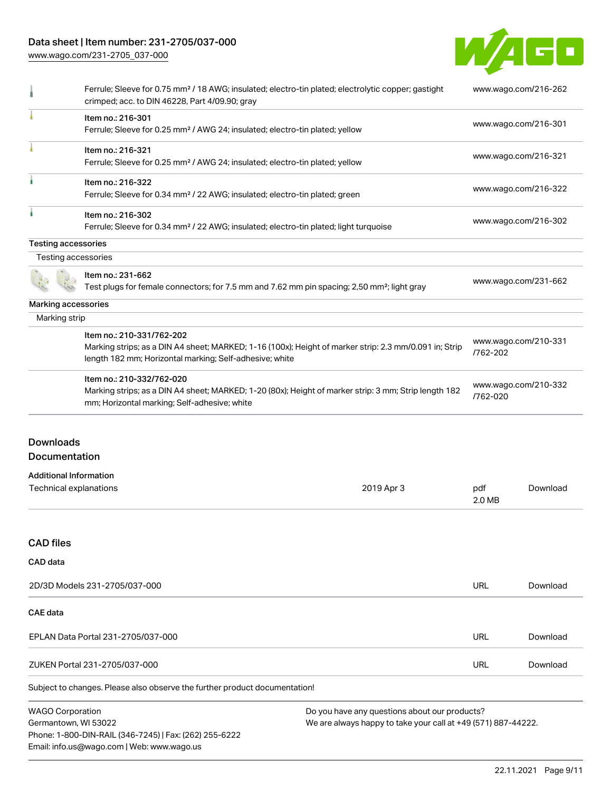## Data sheet | Item number: 231-2705/037-000

Phone: 1-800-DIN-RAIL (346-7245) | Fax: (262) 255-6222

Email: info.us@wago.com | Web: www.wago.us

[www.wago.com/231-2705\\_037-000](http://www.wago.com/231-2705_037-000)



|                                                         | Ferrule; Sleeve for 0.75 mm <sup>2</sup> / 18 AWG; insulated; electro-tin plated; electrolytic copper; gastight<br>crimped; acc. to DIN 46228, Part 4/09.90; gray                              |                                                                                                                |                                  | www.wago.com/216-262 |  |
|---------------------------------------------------------|------------------------------------------------------------------------------------------------------------------------------------------------------------------------------------------------|----------------------------------------------------------------------------------------------------------------|----------------------------------|----------------------|--|
|                                                         | Item no.: 216-301<br>Ferrule; Sleeve for 0.25 mm <sup>2</sup> / AWG 24; insulated; electro-tin plated; yellow                                                                                  |                                                                                                                |                                  | www.wago.com/216-301 |  |
|                                                         | Item no.: 216-321<br>Ferrule; Sleeve for 0.25 mm <sup>2</sup> / AWG 24; insulated; electro-tin plated; yellow                                                                                  |                                                                                                                |                                  | www.wago.com/216-321 |  |
|                                                         | Item no.: 216-322<br>Ferrule; Sleeve for 0.34 mm <sup>2</sup> / 22 AWG; insulated; electro-tin plated; green                                                                                   |                                                                                                                |                                  | www.wago.com/216-322 |  |
|                                                         | Item no.: 216-302<br>Ferrule; Sleeve for 0.34 mm <sup>2</sup> / 22 AWG; insulated; electro-tin plated; light turquoise                                                                         |                                                                                                                |                                  | www.wago.com/216-302 |  |
| Testing accessories                                     |                                                                                                                                                                                                |                                                                                                                |                                  |                      |  |
| Testing accessories                                     |                                                                                                                                                                                                |                                                                                                                |                                  |                      |  |
|                                                         | Item no.: 231-662<br>Test plugs for female connectors; for 7.5 mm and 7.62 mm pin spacing; 2,50 mm <sup>2</sup> ; light gray                                                                   |                                                                                                                |                                  | www.wago.com/231-662 |  |
| Marking accessories                                     |                                                                                                                                                                                                |                                                                                                                |                                  |                      |  |
| Marking strip                                           |                                                                                                                                                                                                |                                                                                                                |                                  |                      |  |
|                                                         | Item no.: 210-331/762-202<br>Marking strips; as a DIN A4 sheet; MARKED; 1-16 (100x); Height of marker strip: 2.3 mm/0.091 in; Strip<br>length 182 mm; Horizontal marking; Self-adhesive; white |                                                                                                                | /762-202                         | www.wago.com/210-331 |  |
|                                                         | Item no.: 210-332/762-020<br>Marking strips; as a DIN A4 sheet; MARKED; 1-20 (80x); Height of marker strip: 3 mm; Strip length 182<br>mm; Horizontal marking; Self-adhesive; white             |                                                                                                                | www.wago.com/210-332<br>/762-020 |                      |  |
| <b>Downloads</b><br>Documentation                       |                                                                                                                                                                                                |                                                                                                                |                                  |                      |  |
|                                                         |                                                                                                                                                                                                |                                                                                                                |                                  |                      |  |
| <b>Additional Information</b><br>Technical explanations |                                                                                                                                                                                                | 2019 Apr 3                                                                                                     | pdf<br>2.0 MB                    | Download             |  |
| <b>CAD files</b>                                        |                                                                                                                                                                                                |                                                                                                                |                                  |                      |  |
| CAD data                                                |                                                                                                                                                                                                |                                                                                                                |                                  |                      |  |
|                                                         | 2D/3D Models 231-2705/037-000                                                                                                                                                                  |                                                                                                                | <b>URL</b>                       | Download             |  |
| <b>CAE</b> data                                         |                                                                                                                                                                                                |                                                                                                                |                                  |                      |  |
|                                                         | EPLAN Data Portal 231-2705/037-000                                                                                                                                                             |                                                                                                                | URL                              | Download             |  |
|                                                         | ZUKEN Portal 231-2705/037-000                                                                                                                                                                  |                                                                                                                | <b>URL</b>                       | Download             |  |
|                                                         | Subject to changes. Please also observe the further product documentation!                                                                                                                     |                                                                                                                |                                  |                      |  |
| <b>WAGO Corporation</b><br>Germantown, WI 53022         |                                                                                                                                                                                                | Do you have any questions about our products?<br>We are always happy to take your call at +49 (571) 887-44222. |                                  |                      |  |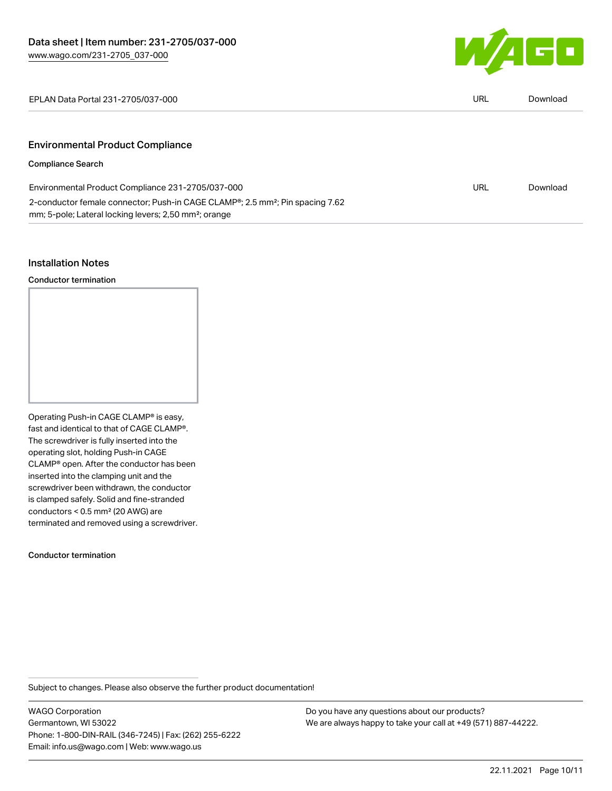

EPLAN Data Portal 231-2705/037-000 URL [Download](https://www.wago.com/global/d/EPLAN_URLS_231-2705_037-000)

## Environmental Product Compliance

### Compliance Search

| Environmental Product Compliance 231-2705/037-000                                                      | URL | Download |
|--------------------------------------------------------------------------------------------------------|-----|----------|
| 2-conductor female connector; Push-in CAGE CLAMP <sup>®</sup> ; 2.5 mm <sup>2</sup> ; Pin spacing 7.62 |     |          |
| mm; 5-pole; Lateral locking levers; 2,50 mm <sup>2</sup> ; orange                                      |     |          |

### Installation Notes

Conductor termination

Operating Push-in CAGE CLAMP® is easy, fast and identical to that of CAGE CLAMP®. The screwdriver is fully inserted into the operating slot, holding Push-in CAGE CLAMP® open. After the conductor has been inserted into the clamping unit and the screwdriver been withdrawn, the conductor is clamped safely. Solid and fine-stranded conductors < 0.5 mm² (20 AWG) are terminated and removed using a screwdriver.

Conductor termination

Subject to changes. Please also observe the further product documentation!

WAGO Corporation Germantown, WI 53022 Phone: 1-800-DIN-RAIL (346-7245) | Fax: (262) 255-6222 Email: info.us@wago.com | Web: www.wago.us